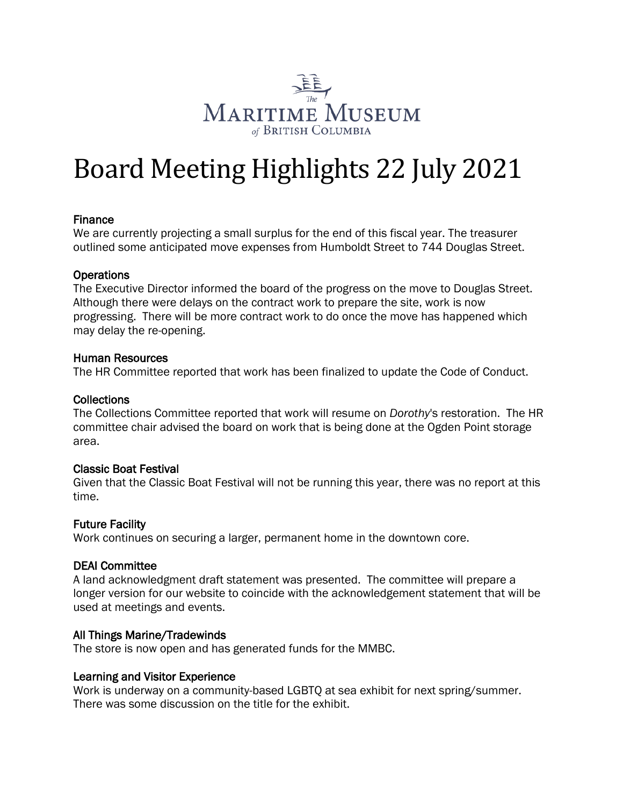

# Board Meeting Highlights 22 July 2021

## Finance

We are currently projecting a small surplus for the end of this fiscal year. The treasurer outlined some anticipated move expenses from Humboldt Street to 744 Douglas Street.

#### **Operations**

The Executive Director informed the board of the progress on the move to Douglas Street. Although there were delays on the contract work to prepare the site, work is now progressing. There will be more contract work to do once the move has happened which may delay the re-opening.

#### Human Resources

The HR Committee reported that work has been finalized to update the Code of Conduct.

#### **Collections**

The Collections Committee reported that work will resume on *Dorothy*'s restoration. The HR committee chair advised the board on work that is being done at the Ogden Point storage area.

#### Classic Boat Festival

Given that the Classic Boat Festival will not be running this year, there was no report at this time.

#### Future Facility

Work continues on securing a larger, permanent home in the downtown core.

#### DEAI Committee

A land acknowledgment draft statement was presented. The committee will prepare a longer version for our website to coincide with the acknowledgement statement that will be used at meetings and events.

#### All Things Marine/Tradewinds

The store is now open and has generated funds for the MMBC.

#### Learning and Visitor Experience

Work is underway on a community-based LGBTQ at sea exhibit for next spring/summer. There was some discussion on the title for the exhibit.